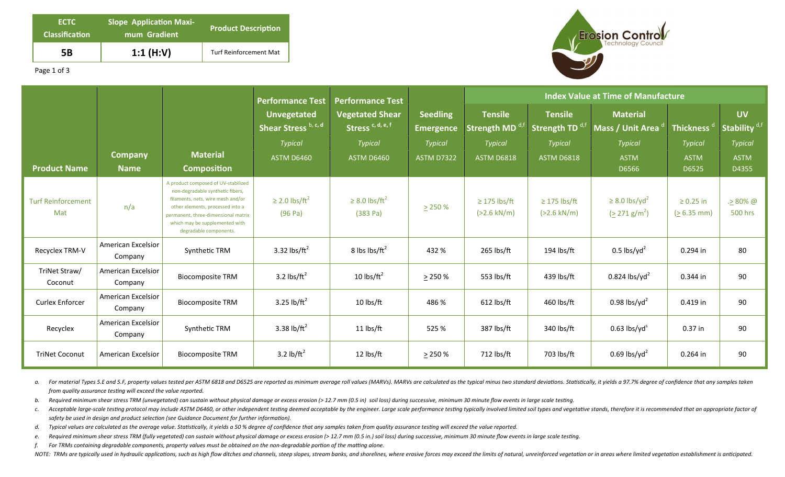| <b>ECTC</b><br><b>Classification</b> | <b>Slope Application Maxi-</b><br>mum Gradient | <b>Product Description</b>    |  |  |  |
|--------------------------------------|------------------------------------------------|-------------------------------|--|--|--|
| 5Β                                   | 1:1 $(H:V)$                                    | <b>Turf Reinforcement Mat</b> |  |  |  |



Page 1 of 3

|                                  |                                      |                                                                                                                                                                                                                                                     | <b>Performance Test</b>                    | <b>Performance Test</b>                                |                                     | <b>Index Value at Time of Manufacture</b> |                                               |                                                          |                                 |                                        |
|----------------------------------|--------------------------------------|-----------------------------------------------------------------------------------------------------------------------------------------------------------------------------------------------------------------------------------------------------|--------------------------------------------|--------------------------------------------------------|-------------------------------------|-------------------------------------------|-----------------------------------------------|----------------------------------------------------------|---------------------------------|----------------------------------------|
|                                  |                                      |                                                                                                                                                                                                                                                     | <b>Unvegetated</b><br>Shear Stress b, c, d | <b>Vegetated Shear</b><br>Stress <sup>c, d, e, f</sup> | <b>Seedling</b><br><b>Emergence</b> | <b>Tensile</b><br><b>Strength MD</b>      | <b>Tensile</b><br>Strength TD <sup>d,tt</sup> | <b>Material</b><br>Mass / Unit Area                      | <b>Thickness</b>                | <b>UV</b><br>Stability <sup>d,fl</sup> |
|                                  |                                      |                                                                                                                                                                                                                                                     | <b>Typical</b>                             | <b>Typical</b>                                         | <b>Typical</b>                      | <b>Typical</b>                            | <b>Typical</b>                                | <b>Typical</b>                                           | <b>Typical</b>                  | <b>Typical</b>                         |
|                                  | <b>Company</b>                       | <b>Material</b>                                                                                                                                                                                                                                     | <b>ASTM D6460</b>                          | <b>ASTM D6460</b>                                      | <b>ASTM D7322</b>                   | <b>ASTM D6818</b>                         | <b>ASTM D6818</b>                             | <b>ASTM</b>                                              | <b>ASTM</b>                     | <b>ASTM</b>                            |
| <b>Product Name</b>              | <b>Name</b>                          | <b>Composition</b>                                                                                                                                                                                                                                  |                                            |                                                        |                                     |                                           |                                               | D6566                                                    | D6525                           | D4355                                  |
| <b>Turf Reinforcement</b><br>Mat | n/a                                  | A product composed of UV-stabilized<br>non-degradable synthetic fibers,<br>filaments, nets, wire mesh and/or<br>other elements, processed into a<br>permanent, three-dimensional matrix<br>which may be supplemented with<br>degradable components. | $\geq$ 2.0 lbs/ft <sup>2</sup><br>(96 Pa)  | $\geq$ 8.0 lbs/ft <sup>2</sup><br>(383 Pa)             | $\geq$ 250 %                        | $\geq$ 175 lbs/ft<br>$(>2.6$ kN/m)        | $\geq$ 175 lbs/ft<br>$(>2.6$ kN/m)            | $\geq$ 8.0 lbs/yd <sup>2</sup><br>$(2271 \text{ g/m}^2)$ | $\geq 0.25$ in<br>$(> 6.35$ mm) | $.280\%$ @<br><b>500 hrs</b>           |
| Recyclex TRM-V                   | <b>American Excelsior</b><br>Company | Synthetic TRM                                                                                                                                                                                                                                       | 3.32 lbs/ $ft^2$                           | 8 lbs $\frac{\text{bs}}{\text{ft}^2}$                  | 432 %                               | 265 lbs/ft                                | 194 lbs/ft                                    | $0.5$ lbs/yd <sup>2</sup>                                | 0.294 in                        | 80                                     |
| TriNet Straw/<br>Coconut         | American Excelsior<br>Company        | <b>Biocomposite TRM</b>                                                                                                                                                                                                                             | 3.2 lbs/ $ft^2$                            | 10 lbs/ $ft^2$                                         | > 250%                              | 553 lbs/ft                                | 439 lbs/ft                                    | $0.824$ lbs/yd <sup>2</sup>                              | 0.344 in                        | 90                                     |
| <b>Curlex Enforcer</b>           | American Excelsior<br>Company        | <b>Biocomposite TRM</b>                                                                                                                                                                                                                             | 3.25 lb/ $ft^2$                            | 10 lbs/ft                                              | 486 %                               | $612$ lbs/ft                              | 460 lbs/ft                                    | 0.98 lbs/yd <sup>2</sup>                                 | 0.419 in                        | 90                                     |
| Recyclex                         | <b>American Excelsior</b><br>Company | Synthetic TRM                                                                                                                                                                                                                                       | 3.38 lb/ft <sup>2</sup>                    | $11$ lbs/ft                                            | 525 %                               | 387 lbs/ft                                | 340 lbs/ft                                    | $0.63$ lbs/yd <sup>s</sup>                               | $0.37$ in                       | 90                                     |
| <b>TriNet Coconut</b>            | American Excelsior                   | <b>Biocomposite TRM</b>                                                                                                                                                                                                                             | 3.2 lb/ft <sup>2</sup>                     | 12 lbs/ft                                              | $\geq$ 250 %                        | 712 lbs/ft                                | 703 lbs/ft                                    | $0.69$ lbs/yd <sup>2</sup>                               | 0.264 in                        | 90                                     |

a. For material Types 5.E and 5.F, property values tested per ASTM 6818 and D6525 are reported as minimum average roll values (MARVs). MARVs are calculated as the typical minus two standard deviations. Statistically, it yi *from quality assurance testing will exceed the value reported.* 

b. Required minimum shear stress TRM (unvegetated) can sustain without physical damage or excess erosion (> 12.7 mm (0.5 in) soil loss) during successive, minimum 30 minute flow events in large scale testing.

c. Acceptable large-scale testing protocol may include ASTM D6460, or other independent testing deemed acceptable by the engineer. Large scale performance testing typically involved limited soil types and vegetative stands safety be used in design and product selection (see Guidance Document for further information).

d. Typical values are calculated as the average value. Statistically, it yields a 50 % degree of confidence that any samples taken from quality assurance testing will exceed the value reported.

e. Required minimum shear stress TRM (fully vegetated) can sustain without physical damage or excess erosion (> 12.7 mm (0.5 in.) soil loss) during successive, minimum 30 minute flow events in large scale testing.

*f.* For TRMs containing degradable components, property values must be obtained on the non-degradable portion of the matting alone.

NOTE: TRMs are typically used in hydraulic applications, such as high flow ditches and channels, steep slopes, stream banks, and shorelines, where erosive forces may exceed the limits of natural, unreinforced vegetation or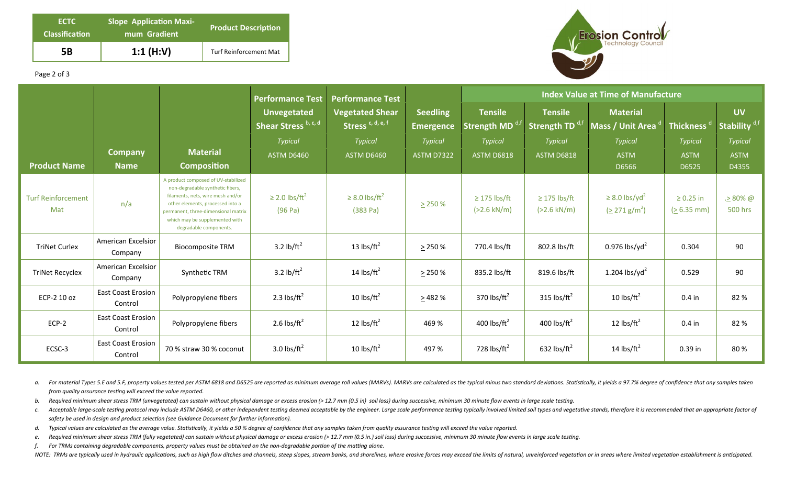| <b>ECTC</b><br><b>Classification</b> | <b>Slope Application Maxi-</b><br>mum Gradient | <b>Product Description</b>    |  |  |  |  |
|--------------------------------------|------------------------------------------------|-------------------------------|--|--|--|--|
| 5B                                   | 1:1 $(H:V)$                                    | <b>Turf Reinforcement Mat</b> |  |  |  |  |



## Page 2 of 3

|                                  |                                      |                                                                                                                                                                                                                                                     | <b>Performance Test</b>                    | <b>Performance Test</b>                                |                                     | <b>Index Value at Time of Manufacture</b>  |                                              |                                                          |                                                     |                                       |
|----------------------------------|--------------------------------------|-----------------------------------------------------------------------------------------------------------------------------------------------------------------------------------------------------------------------------------------------------|--------------------------------------------|--------------------------------------------------------|-------------------------------------|--------------------------------------------|----------------------------------------------|----------------------------------------------------------|-----------------------------------------------------|---------------------------------------|
|                                  |                                      |                                                                                                                                                                                                                                                     | <b>Unvegetated</b><br>Shear Stress b, c, d | <b>Vegetated Shear</b><br>Stress <sup>c, d, e, f</sup> | <b>Seedling</b><br><b>Emergence</b> | <b>Tensile</b><br>Strength MD <sup>d</sup> | <b>Tensile</b><br>Strength TD <sup>d,f</sup> | <b>Material</b><br>Mass / Unit Area                      | Thickness $^{\mathfrak{a}^{\scriptscriptstyle{1}}}$ | <b>UV</b><br>Stability <sup>d,f</sup> |
| <b>Product Name</b>              | <b>Company</b><br><b>Name</b>        | <b>Material</b><br><b>Composition</b>                                                                                                                                                                                                               | <b>Typical</b><br><b>ASTM D6460</b>        | <b>Typical</b><br><b>ASTM D6460</b>                    | <b>Typical</b><br><b>ASTM D7322</b> | <b>Typical</b><br><b>ASTM D6818</b>        | <b>Typical</b><br><b>ASTM D6818</b>          | <b>Typical</b><br><b>ASTM</b><br>D6566                   | <b>Typical</b><br><b>ASTM</b><br>D6525              | Typical<br><b>ASTM</b><br>D4355       |
| <b>Turf Reinforcement</b><br>Mat | n/a                                  | A product composed of UV-stabilized<br>non-degradable synthetic fibers,<br>filaments, nets, wire mesh and/or<br>other elements, processed into a<br>permanent, three-dimensional matrix<br>which may be supplemented with<br>degradable components. | $\geq$ 2.0 lbs/ft <sup>2</sup><br>(96 Pa)  | $\geq$ 8.0 lbs/ft <sup>2</sup><br>(383 Pa)             | $\geq$ 250 %                        | $\geq$ 175 lbs/ft<br>$(>2.6$ kN/m)         | $\geq$ 175 lbs/ft<br>$(>2.6$ kN/m)           | $\geq$ 8.0 lbs/yd <sup>2</sup><br>$(2271 \text{ g/m}^2)$ | $\geq 0.25$ in<br>$(> 6.35$ mm)                     | $\geq 80\%$ @<br><b>500 hrs</b>       |
| <b>TriNet Curlex</b>             | American Excelsior<br>Company        | <b>Biocomposite TRM</b>                                                                                                                                                                                                                             | 3.2 $\frac{1}{2}$ h/ft <sup>2</sup>        | 13 $\text{lbs/ft}^2$                                   | > 250%                              | 770.4 lbs/ft                               | 802.8 lbs/ft                                 | $0.976$ lbs/yd <sup>2</sup>                              | 0.304                                               | 90                                    |
| <b>TriNet Recyclex</b>           | American Excelsior<br>Company        | Synthetic TRM                                                                                                                                                                                                                                       | 3.2 $\frac{1}{2}$ h/ft <sup>2</sup>        | 14 $\text{lbs/ft}^2$                                   | $\geq$ 250 %                        | 835.2 lbs/ft                               | 819.6 lbs/ft                                 | 1.204 lbs/yd <sup>2</sup>                                | 0.529                                               | 90                                    |
| ECP-2 10 oz                      | <b>East Coast Erosion</b><br>Control | Polypropylene fibers                                                                                                                                                                                                                                | 2.3 lbs/ $ft^2$                            | 10 $\frac{1}{\text{b}}$                                | > 482%                              | 370 lbs/ $ft^2$                            | 315 lbs/ $ft^2$                              | 10 lbs/ $ft^2$                                           | $0.4$ in                                            | 82%                                   |
| $ECP-2$                          | <b>East Coast Erosion</b><br>Control | Polypropylene fibers                                                                                                                                                                                                                                | 2.6 lbs/ $ft^2$                            | 12 $\text{lbs/ft}^2$                                   | 469 %                               | 400 lbs/ $ft^2$                            | 400 lbs/ $ft^2$                              | 12 $\text{lbs/ft}^2$                                     | $0.4$ in                                            | 82%                                   |
| ECSC-3                           | <b>East Coast Erosion</b><br>Control | 70 % straw 30 % coconut                                                                                                                                                                                                                             | 3.0 lbs/ $ft^2$                            | 10 $\text{lbs/ft}^2$                                   | 497 %                               | 728 lbs/ft <sup>2</sup>                    | 632 lbs/ $ft^2$                              | 14 $\text{lbs/ft}^2$                                     | 0.39 in                                             | 80%                                   |

a. For material Types 5.E and 5.F, property values tested per ASTM 6818 and D6525 are reported as minimum average roll values (MARVs). MARVs are calculated as the typical minus two standard deviations. Statistically, it yi *from quality assurance testing will exceed the value reported.* 

- b. Required minimum shear stress TRM (unvegetated) can sustain without physical damage or excess erosion (> 12.7 mm (0.5 in) soil loss) during successive, minimum 30 minute flow events in large scale testing.
- c. Acceptable large-scale testing protocol may include ASTM D6460, or other independent testing deemed acceptable by the engineer. Large scale performance testing typically involved limited soil types and vegetative stands safety be used in design and product selection (see Guidance Document for further information).
- d. Typical values are calculated as the average value. Statistically, it yields a 50 % degree of confidence that any samples taken from quality assurance testing will exceed the value reported.
- e. Required minimum shear stress TRM (fully vegetated) can sustain without physical damage or excess erosion (> 12.7 mm (0.5 in.) soil loss) during successive, minimum 30 minute flow events in large scale testing.
- *f.* For TRMs containing degradable components, property values must be obtained on the non-degradable portion of the matting alone.

NOTE: TRMs are typically used in hydraulic applications, such as high flow ditches and channels, steep slopes, stream banks, and shorelines, where erosive forces may exceed the limits of natural, unreinforced vegetation or